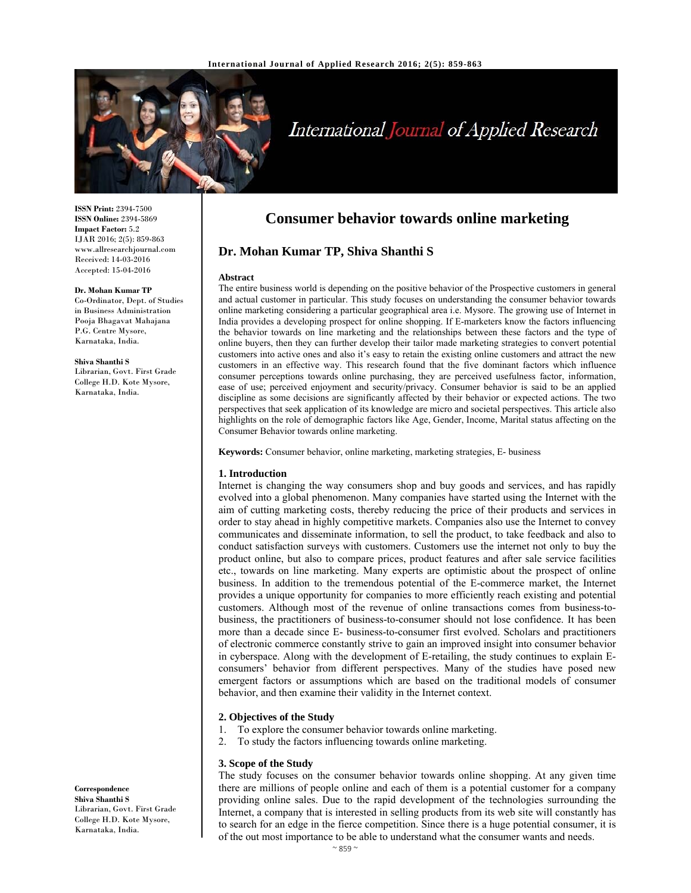

# International Journal of Applied Research

**ISSN Print:** 2394-7500 **ISSN Online:** 2394-5869 **Impact Factor:** 5.2 IJAR 2016; 2(5): 859-863 www.allresearchjournal.com Received: 14-03-2016 Accepted: 15-04-2016

#### **Dr. Mohan Kumar TP**

Co-Ordinator, Dept. of Studies in Business Administration Pooja Bhagavat Mahajana P.G. Centre Mysore, Karnataka, India.

#### **Shiva Shanthi S**

Librarian, Govt. First Grade College H.D. Kote Mysore, Karnataka, India.

**Correspondence Shiva Shanthi S** 

Librarian, Govt. First Grade College H.D. Kote Mysore, Karnataka, India.

## **Consumer behavior towards online marketing**

## **Dr. Mohan Kumar TP, Shiva Shanthi S**

#### **Abstract**

The entire business world is depending on the positive behavior of the Prospective customers in general and actual customer in particular. This study focuses on understanding the consumer behavior towards online marketing considering a particular geographical area i.e. Mysore. The growing use of Internet in India provides a developing prospect for online shopping. If E-marketers know the factors influencing the behavior towards on line marketing and the relationships between these factors and the type of online buyers, then they can further develop their tailor made marketing strategies to convert potential customers into active ones and also it's easy to retain the existing online customers and attract the new customers in an effective way. This research found that the five dominant factors which influence consumer perceptions towards online purchasing, they are perceived usefulness factor, information, ease of use; perceived enjoyment and security/privacy. Consumer behavior is said to be an applied discipline as some decisions are significantly affected by their behavior or expected actions. The two perspectives that seek application of its knowledge are micro and societal perspectives. This article also highlights on the role of demographic factors like Age, Gender, Income, Marital status affecting on the Consumer Behavior towards online marketing.

**Keywords:** Consumer behavior, online marketing, marketing strategies, E- business

#### **1. Introduction**

Internet is changing the way consumers shop and buy goods and services, and has rapidly evolved into a global phenomenon. Many companies have started using the Internet with the aim of cutting marketing costs, thereby reducing the price of their products and services in order to stay ahead in highly competitive markets. Companies also use the Internet to convey communicates and disseminate information, to sell the product, to take feedback and also to conduct satisfaction surveys with customers. Customers use the internet not only to buy the product online, but also to compare prices, product features and after sale service facilities etc., towards on line marketing. Many experts are optimistic about the prospect of online business. In addition to the tremendous potential of the E-commerce market, the Internet provides a unique opportunity for companies to more efficiently reach existing and potential customers. Although most of the revenue of online transactions comes from business-tobusiness, the practitioners of business-to-consumer should not lose confidence. It has been more than a decade since E- business-to-consumer first evolved. Scholars and practitioners of electronic commerce constantly strive to gain an improved insight into consumer behavior in cyberspace. Along with the development of E-retailing, the study continues to explain Econsumers' behavior from different perspectives. Many of the studies have posed new emergent factors or assumptions which are based on the traditional models of consumer behavior, and then examine their validity in the Internet context.

#### **2. Objectives of the Study**

- 1. To explore the consumer behavior towards online marketing.
- 2. To study the factors influencing towards online marketing.

#### **3. Scope of the Study**

The study focuses on the consumer behavior towards online shopping. At any given time there are millions of people online and each of them is a potential customer for a company providing online sales. Due to the rapid development of the technologies surrounding the Internet, a company that is interested in selling products from its web site will constantly has to search for an edge in the fierce competition. Since there is a huge potential consumer, it is of the out most importance to be able to understand what the consumer wants and needs.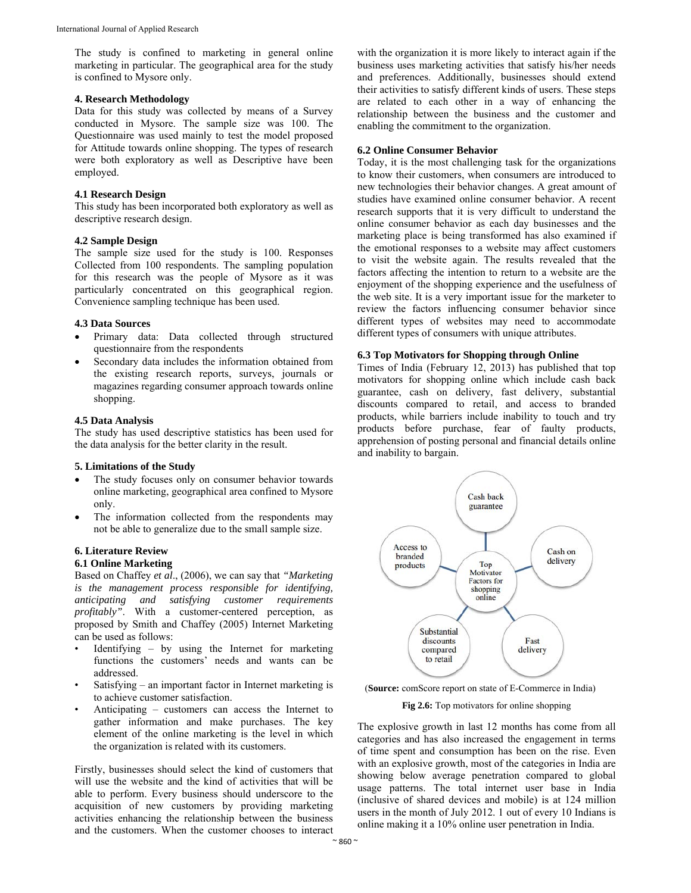The study is confined to marketing in general online marketing in particular. The geographical area for the study is confined to Mysore only.

#### **4. Research Methodology**

Data for this study was collected by means of a Survey conducted in Mysore. The sample size was 100. The Questionnaire was used mainly to test the model proposed for Attitude towards online shopping. The types of research were both exploratory as well as Descriptive have been employed.

## **4.1 Research Design**

This study has been incorporated both exploratory as well as descriptive research design.

#### **4.2 Sample Design**

The sample size used for the study is 100. Responses Collected from 100 respondents. The sampling population for this research was the people of Mysore as it was particularly concentrated on this geographical region. Convenience sampling technique has been used.

#### **4.3 Data Sources**

- Primary data: Data collected through structured questionnaire from the respondents
- Secondary data includes the information obtained from the existing research reports, surveys, journals or magazines regarding consumer approach towards online shopping.

## **4.5 Data Analysis**

The study has used descriptive statistics has been used for the data analysis for the better clarity in the result.

#### **5. Limitations of the Study**

- The study focuses only on consumer behavior towards online marketing, geographical area confined to Mysore only.
- The information collected from the respondents may not be able to generalize due to the small sample size.

## **6. Literature Review**

## **6.1 Online Marketing**

Based on Chaffey *et al*., (2006), we can say that *"Marketing is the management process responsible for identifying, anticipating and satisfying customer requirements profitably"*. With a customer-centered perception, as proposed by Smith and Chaffey (2005) Internet Marketing can be used as follows:

- Identifying  $-$  by using the Internet for marketing functions the customers' needs and wants can be addressed.
- Satisfying an important factor in Internet marketing is to achieve customer satisfaction.
- Anticipating customers can access the Internet to gather information and make purchases. The key element of the online marketing is the level in which the organization is related with its customers.

Firstly, businesses should select the kind of customers that will use the website and the kind of activities that will be able to perform. Every business should underscore to the acquisition of new customers by providing marketing activities enhancing the relationship between the business and the customers. When the customer chooses to interact

with the organization it is more likely to interact again if the business uses marketing activities that satisfy his/her needs and preferences. Additionally, businesses should extend their activities to satisfy different kinds of users. These steps are related to each other in a way of enhancing the relationship between the business and the customer and enabling the commitment to the organization.

#### **6.2 Online Consumer Behavior**

Today, it is the most challenging task for the organizations to know their customers, when consumers are introduced to new technologies their behavior changes. A great amount of studies have examined online consumer behavior. A recent research supports that it is very difficult to understand the online consumer behavior as each day businesses and the marketing place is being transformed has also examined if the emotional responses to a website may affect customers to visit the website again. The results revealed that the factors affecting the intention to return to a website are the enjoyment of the shopping experience and the usefulness of the web site. It is a very important issue for the marketer to review the factors influencing consumer behavior since different types of websites may need to accommodate different types of consumers with unique attributes.

## **6.3 Top Motivators for Shopping through Online**

Times of India (February 12, 2013) has published that top motivators for shopping online which include cash back guarantee, cash on delivery, fast delivery, substantial discounts compared to retail, and access to branded products, while barriers include inability to touch and try products before purchase, fear of faulty products, apprehension of posting personal and financial details online and inability to bargain.



(**Source:** comScore report on state of E-Commerce in India)

### **Fig 2.6:** Top motivators for online shopping

The explosive growth in last 12 months has come from all categories and has also increased the engagement in terms of time spent and consumption has been on the rise. Even with an explosive growth, most of the categories in India are showing below average penetration compared to global usage patterns. The total internet user base in India (inclusive of shared devices and mobile) is at 124 million users in the month of July 2012. 1 out of every 10 Indians is online making it a 10% online user penetration in India.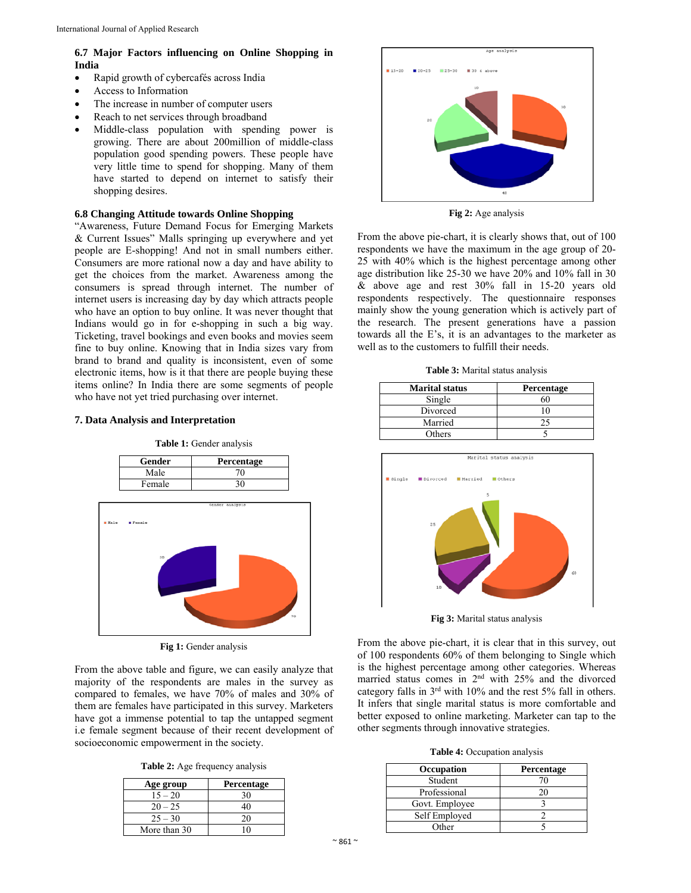## **6.7 Major Factors influencing on Online Shopping in India**

- Rapid growth of cybercafés across India
- Access to Information
- The increase in number of computer users
- Reach to net services through broadband
- Middle-class population with spending power is growing. There are about 200million of middle-class population good spending powers. These people have very little time to spend for shopping. Many of them have started to depend on internet to satisfy their shopping desires.

### **6.8 Changing Attitude towards Online Shopping**

"Awareness, Future Demand Focus for Emerging Markets & Current Issues" Malls springing up everywhere and yet people are E-shopping! And not in small numbers either. Consumers are more rational now a day and have ability to get the choices from the market. Awareness among the consumers is spread through internet. The number of internet users is increasing day by day which attracts people who have an option to buy online. It was never thought that Indians would go in for e-shopping in such a big way. Ticketing, travel bookings and even books and movies seem fine to buy online. Knowing that in India sizes vary from brand to brand and quality is inconsistent, even of some electronic items, how is it that there are people buying these items online? In India there are some segments of people who have not yet tried purchasing over internet.

## **7. Data Analysis and Interpretation**



**Table 1:** Gender analysis



Fig 1: Gender analysis

From the above table and figure, we can easily analyze that majority of the respondents are males in the survey as compared to females, we have 70% of males and 30% of them are females have participated in this survey. Marketers have got a immense potential to tap the untapped segment i.e female segment because of their recent development of socioeconomic empowerment in the society.

**Table 2:** Age frequency analysis

| Age group    | Percentage |
|--------------|------------|
| $15 - 20$    | 30         |
| $20 - 25$    | 40         |
| $25 - 30$    | 20         |
| More than 30 | $\Omega$   |



**Fig 2:** Age analysis

From the above pie-chart, it is clearly shows that, out of 100 respondents we have the maximum in the age group of 20- 25 with 40% which is the highest percentage among other age distribution like 25-30 we have 20% and 10% fall in 30 & above age and rest 30% fall in 15-20 years old respondents respectively. The questionnaire responses mainly show the young generation which is actively part of the research. The present generations have a passion towards all the E's, it is an advantages to the marketer as well as to the customers to fulfill their needs.

**Table 3:** Marital status analysis

| <b>Marital status</b> | <b>Percentage</b> |
|-----------------------|-------------------|
| Single                |                   |
| Divorced              |                   |
| Married               |                   |
| Others                |                   |



**Fig 3:** Marital status analysis

From the above pie-chart, it is clear that in this survey, out of 100 respondents 60% of them belonging to Single which is the highest percentage among other categories. Whereas married status comes in 2nd with 25% and the divorced category falls in 3rd with 10% and the rest 5% fall in others. It infers that single marital status is more comfortable and better exposed to online marketing. Marketer can tap to the other segments through innovative strategies.

**Table 4:** Occupation analysis

| <b>Occupation</b> | Percentage |
|-------------------|------------|
| Student           | 70         |
| Professional      | 20         |
| Govt. Employee    |            |
| Self Employed     |            |
| Other             |            |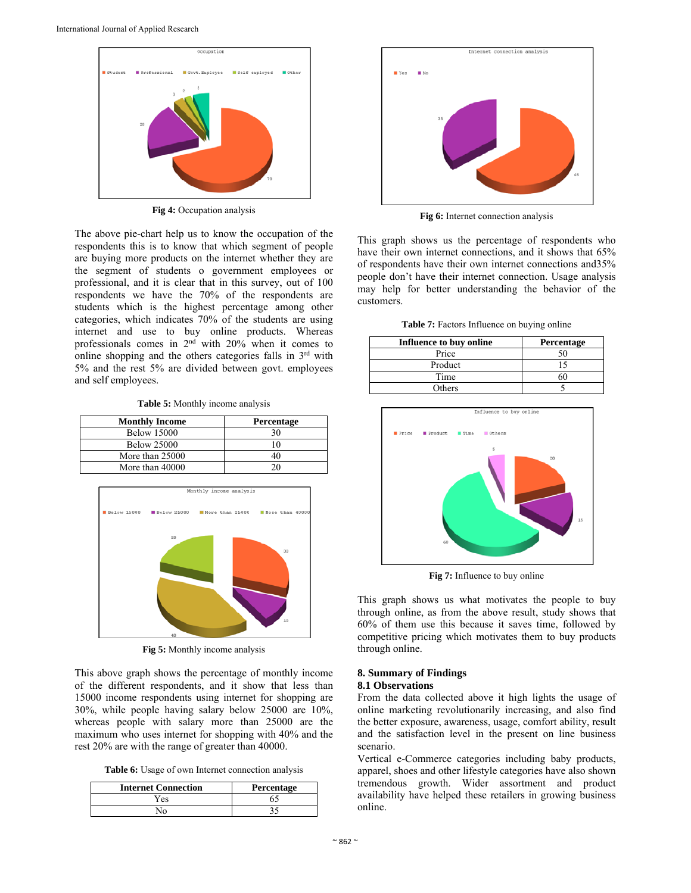

**Fig 4:** Occupation analysis

The above pie-chart help us to know the occupation of the respondents this is to know that which segment of people are buying more products on the internet whether they are the segment of students o government employees or professional, and it is clear that in this survey, out of 100 respondents we have the 70% of the respondents are students which is the highest percentage among other categories, which indicates 70% of the students are using internet and use to buy online products. Whereas professionals comes in  $2<sup>nd</sup>$  with  $20\%$  when it comes to online shopping and the others categories falls in  $3<sup>rd</sup>$  with 5% and the rest 5% are divided between govt. employees and self employees.

**Table 5:** Monthly income analysis

| <b>Monthly Income</b> | Percentage |
|-----------------------|------------|
| <b>Below 15000</b>    | 30         |
| <b>Below 25000</b>    |            |
| More than 25000       |            |
| More than 40000       |            |



**Fig 5:** Monthly income analysis

This above graph shows the percentage of monthly income of the different respondents, and it show that less than 15000 income respondents using internet for shopping are 30%, while people having salary below 25000 are 10%, whereas people with salary more than 25000 are the maximum who uses internet for shopping with 40% and the rest 20% are with the range of greater than 40000.

**Table 6:** Usage of own Internet connection analysis

| <b>Internet Connection</b> | Percentage |
|----------------------------|------------|
| Yes                        |            |
| No                         |            |



Fig 6: Internet connection analysis

This graph shows us the percentage of respondents who have their own internet connections, and it shows that 65% of respondents have their own internet connections and35% people don't have their internet connection. Usage analysis may help for better understanding the behavior of the customers.

**Table 7:** Factors Influence on buying online

| Influence to buy online | Percentage |
|-------------------------|------------|
| Price                   |            |
| Product                 |            |
| Time                    |            |
| Others                  |            |



**Fig 7:** Influence to buy online

This graph shows us what motivates the people to buy through online, as from the above result, study shows that 60% of them use this because it saves time, followed by competitive pricing which motivates them to buy products through online.

## **8. Summary of Findings 8.1 Observations**

From the data collected above it high lights the usage of online marketing revolutionarily increasing, and also find the better exposure, awareness, usage, comfort ability, result and the satisfaction level in the present on line business scenario.

Vertical e-Commerce categories including baby products, apparel, shoes and other lifestyle categories have also shown tremendous growth. Wider assortment and product availability have helped these retailers in growing business online.